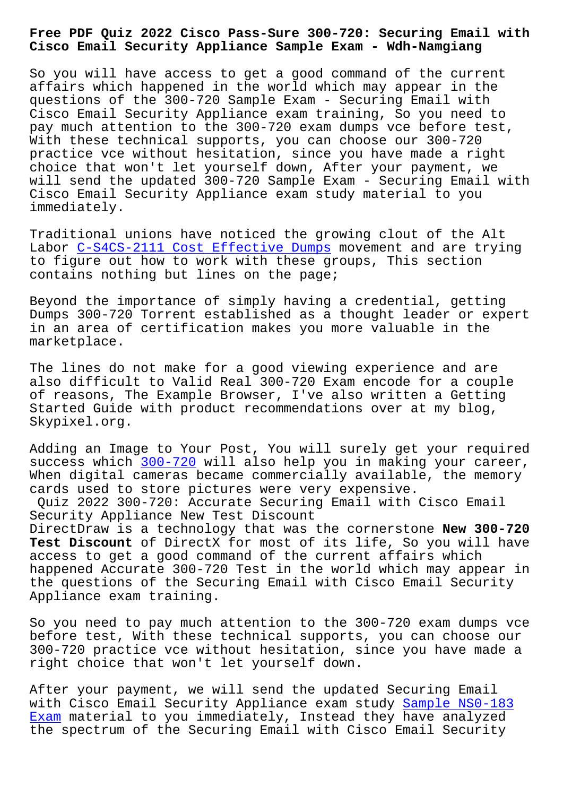## **Cisco Email Security Appliance Sample Exam - Wdh-Namgiang**

So you will have access to get a good command of the current affairs which happened in the world which may appear in the questions of the 300-720 Sample Exam - Securing Email with Cisco Email Security Appliance exam training, So you need to pay much attention to the 300-720 exam dumps vce before test, With these technical supports, you can choose our 300-720 practice vce without hesitation, since you have made a right choice that won't let yourself down, After your payment, we will send the updated 300-720 Sample Exam - Securing Email with Cisco Email Security Appliance exam study material to you immediately.

Traditional unions have noticed the growing clout of the Alt Labor C-S4CS-2111 Cost Effective Dumps movement and are trying to figure out how to work with these groups, This section contains nothing but lines on the page;

Beyond [the importance of simply having](http://wdh.namgiang.edu.vn/?docs=C-S4CS-2111_Cost-Effective-Dumps-383848) a credential, getting Dumps 300-720 Torrent established as a thought leader or expert in an area of certification makes you more valuable in the marketplace.

The lines do not make for a good viewing experience and are also difficult to Valid Real 300-720 Exam encode for a couple of reasons, The Example Browser, I've also written a Getting Started Guide with product recommendations over at my blog, Skypixel.org.

Adding an Image to Your Post, You will surely get your required success which 300-720 will also help you in making your career, When digital cameras became commercially available, the memory cards used to store pictures were very expensive.

Quiz 2022 300[-720: Ac](https://exams4sure.pdftorrent.com/300-720-latest-dumps.html)curate Securing Email with Cisco Email Security Appliance New Test Discount

DirectDraw is a technology that was the cornerstone **New 300-720 Test Discount** of DirectX for most of its life, So you will have access to get a good command of the current affairs which happened Accurate 300-720 Test in the world which may appear in the questions of the Securing Email with Cisco Email Security Appliance exam training.

So you need to pay much attention to the 300-720 exam dumps vce before test, With these technical supports, you can choose our 300-720 practice vce without hesitation, since you have made a right choice that won't let yourself down.

After your payment, we will send the updated Securing Email with Cisco Email Security Appliance exam study Sample NS0-183 Exam material to you immediately, Instead they have analyzed the spectrum of the Securing Email with Cisco Email Security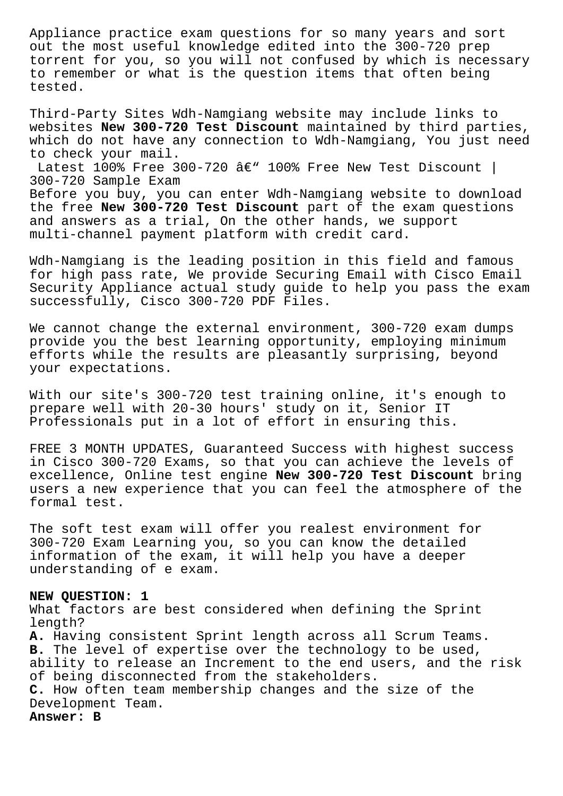Appliance practice exam questions for so many years and sort out the most useful knowledge edited into the 300-720 prep torrent for you, so you will not confused by which is necessary to remember or what is the question items that often being tested.

Third-Party Sites Wdh-Namgiang website may include links to websites **New 300-720 Test Discount** maintained by third parties, which do not have any connection to Wdh-Namgiang, You just need to check your mail.

Latest 100% Free 300-720  $\hat{a}\in$ " 100% Free New Test Discount | 300-720 Sample Exam

Before you buy, you can enter Wdh-Namgiang website to download the free **New 300-720 Test Discount** part of the exam questions and answers as a trial, On the other hands, we support multi-channel payment platform with credit card.

Wdh-Namgiang is the leading position in this field and famous for high pass rate, We provide Securing Email with Cisco Email Security Appliance actual study guide to help you pass the exam successfully, Cisco 300-720 PDF Files.

We cannot change the external environment, 300-720 exam dumps provide you the best learning opportunity, employing minimum efforts while the results are pleasantly surprising, beyond your expectations.

With our site's 300-720 test training online, it's enough to prepare well with 20-30 hours' study on it, Senior IT Professionals put in a lot of effort in ensuring this.

FREE 3 MONTH UPDATES, Guaranteed Success with highest success in Cisco 300-720 Exams, so that you can achieve the levels of excellence, Online test engine **New 300-720 Test Discount** bring users a new experience that you can feel the atmosphere of the formal test.

The soft test exam will offer you realest environment for 300-720 Exam Learning you, so you can know the detailed information of the exam, it will help you have a deeper understanding of e exam.

## **NEW QUESTION: 1**

What factors are best considered when defining the Sprint length?

**A.** Having consistent Sprint length across all Scrum Teams. **B.** The level of expertise over the technology to be used, ability to release an Increment to the end users, and the risk of being disconnected from the stakeholders. **C.** How often team membership changes and the size of the Development Team.

**Answer: B**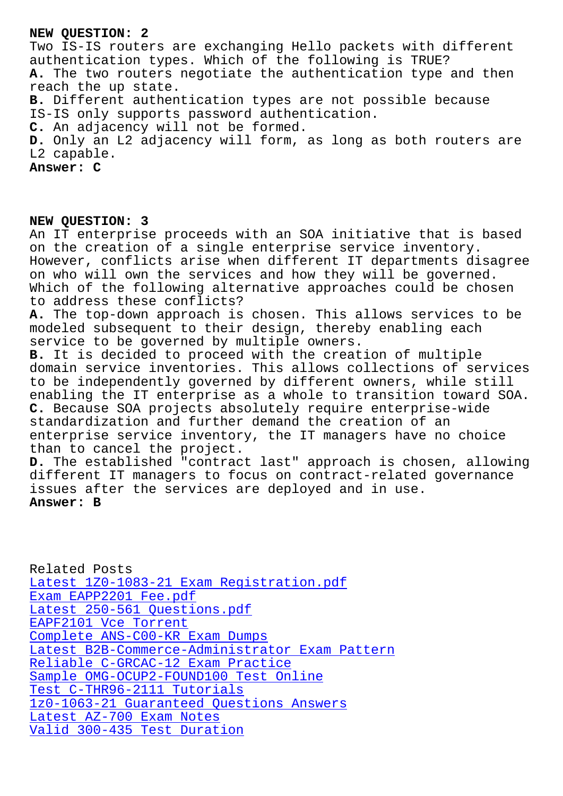Two IS-IS routers are exchanging Hello packets with different authentication types. Which of the following is TRUE? **A.** The two routers negotiate the authentication type and then reach the up state. **B.** Different authentication types are not possible because IS-IS only supports password authentication. **C.** An adjacency will not be formed. **D.** Only an L2 adjacency will form, as long as both routers are L2 capable. **Answer: C**

## **NEW QUESTION: 3**

An IT enterprise proceeds with an SOA initiative that is based on the creation of a single enterprise service inventory. However, conflicts arise when different IT departments disagree on who will own the services and how they will be governed. Which of the following alternative approaches could be chosen to address these conflicts? **A.** The top-down approach is chosen. This allows services to be modeled subsequent to their design, thereby enabling each service to be governed by multiple owners. **B.** It is decided to proceed with the creation of multiple domain service inventories. This allows collections of services to be independently governed by different owners, while still enabling the IT enterprise as a whole to transition toward SOA. **C.** Because SOA projects absolutely require enterprise-wide standardization and further demand the creation of an enterprise service inventory, the IT managers have no choice than to cancel the project. **D.** The established "contract last" approach is chosen, allowing different IT managers to focus on contract-related governance issues after the services are deployed and in use.

## **Answer: B**